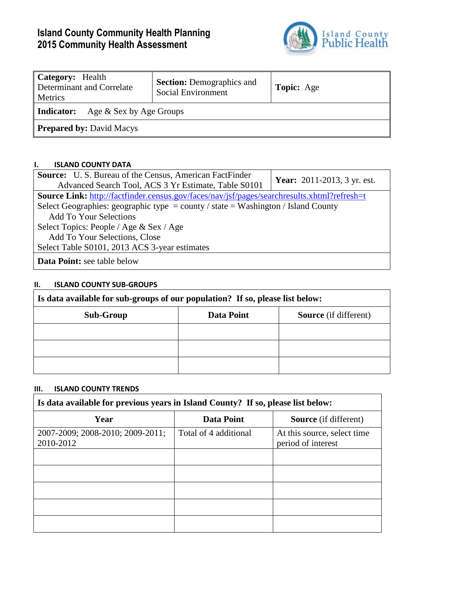# **Island County Community Health Planning 2015 Community Health Assessment**



| Category: Health<br>Determinant and Correlate<br>Metrics | <b>Section:</b> Demographics and<br>Social Environment | <b>Topic:</b> Age |  |  |  |  |
|----------------------------------------------------------|--------------------------------------------------------|-------------------|--|--|--|--|
| Age & Sex by Age Groups<br>Indicator:                    |                                                        |                   |  |  |  |  |
| <b>Prepared by: David Macys</b>                          |                                                        |                   |  |  |  |  |

## **I. ISLAND COUNTY DATA**

| <b>Source:</b> U.S. Bureau of the Census, American FactFinder                                      | <b>Year:</b> 2011-2013, 3 yr. est. |
|----------------------------------------------------------------------------------------------------|------------------------------------|
| Advanced Search Tool, ACS 3 Yr Estimate, Table S0101                                               |                                    |
| <b>Source Link:</b> http://factfinder.census.gov/faces/nav/jsf/pages/searchresults.xhtml?refresh=t |                                    |
| Select Geographies: geographic type = county / state = Washington / Island County                  |                                    |
| <b>Add To Your Selections</b>                                                                      |                                    |
| Select Topics: People / Age & Sex / Age                                                            |                                    |
| Add To Your Selections, Close                                                                      |                                    |
| Select Table S0101, 2013 ACS 3-year estimates                                                      |                                    |
| <b>Data Point:</b> see table below                                                                 |                                    |

### **II. ISLAND COUNTY SUB-GROUPS**

| Is data available for sub-groups of our population? If so, please list below: |            |                              |  |  |  |  |
|-------------------------------------------------------------------------------|------------|------------------------------|--|--|--|--|
| <b>Sub-Group</b>                                                              | Data Point | <b>Source</b> (if different) |  |  |  |  |
|                                                                               |            |                              |  |  |  |  |
|                                                                               |            |                              |  |  |  |  |
|                                                                               |            |                              |  |  |  |  |

#### **III. ISLAND COUNTY TRENDS**

| Is data available for previous years in Island County? If so, please list below: |                       |                                                   |  |  |  |  |  |
|----------------------------------------------------------------------------------|-----------------------|---------------------------------------------------|--|--|--|--|--|
| Year                                                                             | <b>Data Point</b>     | <b>Source</b> (if different)                      |  |  |  |  |  |
| 2007-2009; 2008-2010; 2009-2011;<br>2010-2012                                    | Total of 4 additional | At this source, select time<br>period of interest |  |  |  |  |  |
|                                                                                  |                       |                                                   |  |  |  |  |  |
|                                                                                  |                       |                                                   |  |  |  |  |  |
|                                                                                  |                       |                                                   |  |  |  |  |  |
|                                                                                  |                       |                                                   |  |  |  |  |  |
|                                                                                  |                       |                                                   |  |  |  |  |  |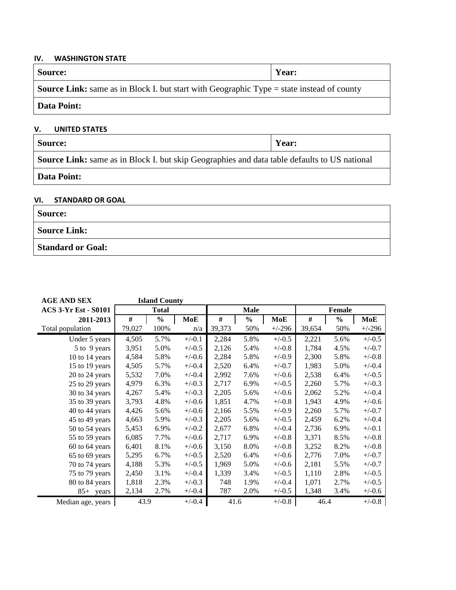#### **IV. WASHINGTON STATE**

| <b>Source:</b>                                                                                   | Year: |  |  |
|--------------------------------------------------------------------------------------------------|-------|--|--|
| <b>Source Link:</b> same as in Block I. but start with Geographic Type = state instead of county |       |  |  |
| <b>Data Point:</b>                                                                               |       |  |  |

## **V. UNITED STATES**

| <b>Source:</b><br>  Year: |  |
|---------------------------|--|
|---------------------------|--|

**Source Link:** same as in Block I. but skip Geographies and data table defaults to US national

# **Data Point:**

## **VI. STANDARD OR GOAL**

| <b>Source:</b>           |  |
|--------------------------|--|
| <b>Source Link:</b>      |  |
| <b>Standard or Goal:</b> |  |

| <b>AGE AND SEX</b>          |        | <b>Island County</b> |            |        |               |            |        |               |          |
|-----------------------------|--------|----------------------|------------|--------|---------------|------------|--------|---------------|----------|
| <b>ACS 3-Yr Est - S0101</b> |        | <b>Total</b>         |            |        | <b>Male</b>   |            |        | <b>Female</b> |          |
| 2011-2013                   | $\#$   | $\frac{0}{0}$        | <b>MoE</b> | #      | $\frac{0}{0}$ | <b>MoE</b> | #      | $\frac{0}{0}$ | MoE      |
| Total population            | 79,027 | 100%                 | n/a        | 39,373 | 50%           | $+/-296$   | 39,654 | 50%           | $+/-296$ |
| Under 5 years               | 4,505  | 5.7%                 | $+/-0.1$   | 2,284  | 5.8%          | $+/-0.5$   | 2,221  | 5.6%          | $+/-0.5$ |
| 5 to 9 years                | 3,951  | 5.0%                 | $+/-0.5$   | 2,126  | 5.4%          | $+/-0.8$   | 1,784  | 4.5%          | $+/-0.7$ |
| 10 to 14 years              | 4,584  | 5.8%                 | $+/-0.6$   | 2,284  | 5.8%          | $+/-0.9$   | 2,300  | 5.8%          | $+/-0.8$ |
| 15 to 19 years              | 4,505  | 5.7%                 | $+/-0.4$   | 2,520  | 6.4%          | $+/-0.7$   | 1,983  | 5.0%          | $+/-0.4$ |
| 20 to 24 years              | 5,532  | 7.0%                 | $+/-0.4$   | 2,992  | 7.6%          | $+/-0.6$   | 2,538  | 6.4%          | $+/-0.5$ |
| 25 to 29 years              | 4,979  | 6.3%                 | $+/-0.3$   | 2,717  | 6.9%          | $+/-0.5$   | 2,260  | 5.7%          | $+/-0.3$ |
| 30 to 34 years              | 4,267  | 5.4%                 | $+/-0.3$   | 2,205  | 5.6%          | $+/-0.6$   | 2,062  | 5.2%          | $+/-0.4$ |
| 35 to 39 years              | 3,793  | 4.8%                 | $+/-0.6$   | 1,851  | 4.7%          | $+/-0.8$   | 1,943  | 4.9%          | $+/-0.6$ |
| 40 to 44 years              | 4,426  | 5.6%                 | $+/-0.6$   | 2,166  | 5.5%          | $+/-0.9$   | 2,260  | 5.7%          | $+/-0.7$ |
| 45 to 49 years              | 4,663  | 5.9%                 | $+/-0.3$   | 2,205  | 5.6%          | $+/-0.5$   | 2,459  | 6.2%          | $+/-0.4$ |
| 50 to 54 years              | 5,453  | 6.9%                 | $+/-0.2$   | 2,677  | 6.8%          | $+/-0.4$   | 2,736  | 6.9%          | $+/-0.1$ |
| 55 to 59 years              | 6,085  | 7.7%                 | $+/-0.6$   | 2,717  | 6.9%          | $+/-0.8$   | 3,371  | 8.5%          | $+/-0.8$ |
| 60 to 64 years              | 6,401  | 8.1%                 | $+/-0.6$   | 3,150  | 8.0%          | $+/-0.8$   | 3,252  | 8.2%          | $+/-0.8$ |
| 65 to 69 years              | 5,295  | 6.7%                 | $+/-0.5$   | 2,520  | 6.4%          | $+/-0.6$   | 2,776  | 7.0%          | $+/-0.7$ |
| 70 to 74 years              | 4,188  | 5.3%                 | $+/-0.5$   | 1,969  | 5.0%          | $+/-0.6$   | 2,181  | 5.5%          | $+/-0.7$ |
| 75 to 79 years              | 2,450  | 3.1%                 | $+/-0.4$   | 1,339  | 3.4%          | $+/-0.5$   | 1,110  | 2.8%          | $+/-0.5$ |
| 80 to 84 years              | 1,818  | 2.3%                 | $+/-0.3$   | 748    | 1.9%          | $+/-0.4$   | 1,071  | 2.7%          | $+/-0.5$ |
| 85+ years                   | 2,134  | 2.7%                 | $+/-0.4$   | 787    | 2.0%          | $+/-0.5$   | 1,348  | 3.4%          | $+/-0.6$ |
| Median age, years           | 43.9   |                      | $+/-0.4$   | 41.6   |               | $+/-0.8$   | 46.4   |               | $+/-0.8$ |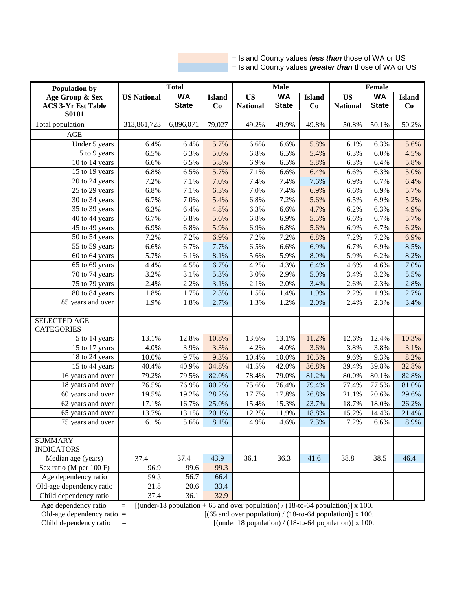= Island County values *less than* those of WA or US = Island County values *greater than* those of WA or US

| <b>Population by</b>                | <b>Total</b>       |              |               |                 | <b>Male</b>  |               | <b>Female</b>   |              |               |  |
|-------------------------------------|--------------------|--------------|---------------|-----------------|--------------|---------------|-----------------|--------------|---------------|--|
| Age Group & Sex                     | <b>US National</b> | <b>WA</b>    | <b>Island</b> | <b>US</b>       | <b>WA</b>    | <b>Island</b> | <b>US</b>       | <b>WA</b>    | <b>Island</b> |  |
| <b>ACS 3-Yr Est Table</b>           |                    | <b>State</b> | Co            | <b>National</b> | <b>State</b> | Co            | <b>National</b> | <b>State</b> | Co            |  |
| <b>S0101</b>                        |                    |              |               |                 |              |               |                 |              |               |  |
| Total population                    | 313,861,723        | 6,896,071    | 79,027        | 49.2%           | 49.9%        | 49.8%         | 50.8%           | 50.1%        | 50.2%         |  |
| <b>AGE</b>                          |                    |              |               |                 |              |               |                 |              |               |  |
| Under 5 years                       | 6.4%               | 6.4%         | 5.7%          | 6.6%            | 6.6%         | 5.8%          | 6.1%            | 6.3%         | 5.6%          |  |
| 5 to 9 years                        | 6.5%               | 6.3%         | 5.0%          | 6.8%            | 6.5%         | 5.4%          | 6.3%            | 6.0%         | 4.5%          |  |
| 10 to 14 years                      | 6.6%               | 6.5%         | 5.8%          | 6.9%            | 6.5%         | 5.8%          | 6.3%            | 6.4%         | 5.8%          |  |
| 15 to 19 years                      | 6.8%               | 6.5%         | 5.7%          | 7.1%            | 6.6%         | 6.4%          | 6.6%            | 6.3%         | 5.0%          |  |
| 20 to 24 years                      | 7.2%               | 7.1%         | 7.0%          | 7.4%            | 7.4%         | 7.6%          | 6.9%            | 6.7%         | 6.4%          |  |
| 25 to 29 years                      | 6.8%               | 7.1%         | 6.3%          | 7.0%            | 7.4%         | 6.9%          | 6.6%            | 6.9%         | 5.7%          |  |
| 30 to 34 years                      | 6.7%               | 7.0%         | 5.4%          | 6.8%            | 7.2%         | 5.6%          | 6.5%            | 6.9%         | 5.2%          |  |
| $\overline{35}$ to 39 years         | 6.3%               | 6.4%         | 4.8%          | 6.3%            | 6.6%         | 4.7%          | 6.2%            | 6.3%         | 4.9%          |  |
| 40 to 44 years                      | 6.7%               | 6.8%         | 5.6%          | 6.8%            | 6.9%         | 5.5%          | 6.6%            | 6.7%         | 5.7%          |  |
| 45 to 49 years                      | 6.9%               | 6.8%         | 5.9%          | 6.9%            | 6.8%         | 5.6%          | 6.9%            | 6.7%         | 6.2%          |  |
| 50 to 54 years                      | 7.2%               | 7.2%         | 6.9%          | 7.2%            | 7.2%         | 6.8%          | 7.2%            | 7.2%         | 6.9%          |  |
| 55 to 59 years                      | 6.6%               | 6.7%         | 7.7%          | 6.5%            | 6.6%         | 6.9%          | 6.7%            | 6.9%         | 8.5%          |  |
| 60 to 64 years                      | 5.7%               | 6.1%         | 8.1%          | 5.6%            | 5.9%         | 8.0%          | 5.9%            | 6.2%         | 8.2%          |  |
| $\overline{65}$ to 69 years         | 4.4%               | 4.5%         | 6.7%          | 4.2%            | 4.3%         | 6.4%          | 4.6%            | 4.6%         | 7.0%          |  |
| 70 to 74 years                      | 3.2%               | 3.1%         | 5.3%          | 3.0%            | 2.9%         | 5.0%          | 3.4%            | 3.2%         | 5.5%          |  |
| 75 to 79 years                      | 2.4%               | 2.2%         | 3.1%          | 2.1%            | 2.0%         | 3.4%          | 2.6%            | 2.3%         | 2.8%          |  |
| 80 to 84 years                      | 1.8%               | 1.7%         | 2.3%          | 1.5%            | 1.4%         | 1.9%          | 2.2%            | 1.9%         | 2.7%          |  |
| 85 years and over                   | 1.9%               | 1.8%         | 2.7%          | 1.3%            | 1.2%         | 2.0%          | 2.4%            | 2.3%         | 3.4%          |  |
|                                     |                    |              |               |                 |              |               |                 |              |               |  |
| <b>SELECTED AGE</b>                 |                    |              |               |                 |              |               |                 |              |               |  |
| <b>CATEGORIES</b>                   |                    |              |               |                 |              |               |                 |              |               |  |
| 5 to 14 years                       | 13.1%              | 12.8%        | 10.8%         | 13.6%           | 13.1%        | 11.2%         | 12.6%           | 12.4%        | 10.3%         |  |
| 15 to 17 years                      | 4.0%               | 3.9%         | 3.3%          | 4.2%            | 4.0%         | 3.6%          | 3.8%            | 3.8%         | 3.1%          |  |
| 18 to 24 years                      | 10.0%              | 9.7%         | 9.3%          | 10.4%           | 10.0%        | 10.5%         | 9.6%            | 9.3%         | 8.2%          |  |
| 15 to 44 years                      | 40.4%              | 40.9%        | 34.8%         | 41.5%           | 42.0%        | 36.8%         | 39.4%           | 39.8%        | 32.8%         |  |
| 16 years and over                   | 79.2%              | 79.5%        | 82.0%         | 78.4%           | 79.0%        | 81.2%         | 80.0%           | 80.1%        | 82.8%         |  |
| 18 years and over                   | 76.5%              | 76.9%        | 80.2%         | 75.6%           | 76.4%        | 79.4%         | 77.4%           | 77.5%        | 81.0%         |  |
| 60 years and over                   | 19.5%              | 19.2%        | 28.2%         | 17.7%           | 17.8%        | 26.8%         | 21.1%           | 20.6%        | 29.6%         |  |
| 62 years and over                   | 17.1%              | 16.7%        | 25.0%         | 15.4%           | 15.3%        | 23.7%         | 18.7%           | 18.0%        | 26.2%         |  |
| 65 years and over                   | 13.7%              | 13.1%        | 20.1%         | 12.2%           | 11.9%        | 18.8%         | 15.2%           | 14.4%        | 21.4%         |  |
| 75 years and over                   | 6.1%               | 5.6%         | 8.1%          | 4.9%            | 4.6%         | 7.3%          | 7.2%            | 6.6%         | 8.9%          |  |
|                                     |                    |              |               |                 |              |               |                 |              |               |  |
| <b>SUMMARY</b><br><b>INDICATORS</b> |                    |              |               |                 |              |               |                 |              |               |  |
| Median age (years)                  | 37.4               | 37.4         | 43.9          | 36.1            | 36.3         | 41.6          | 38.8            | 38.5         | 46.4          |  |
| Sex ratio (M per 100 F)             | 96.9               | 99.6         | 99.3          |                 |              |               |                 |              |               |  |
| Age dependency ratio                | 59.3               | 56.7         | 66.4          |                 |              |               |                 |              |               |  |
| Old-age dependency ratio            | 21.8               | 20.6         | 33.4          |                 |              |               |                 |              |               |  |
| Child dependency ratio              | 37.4               | 36.1         | 32.9          |                 |              |               |                 |              |               |  |
|                                     |                    |              |               |                 |              |               |                 |              |               |  |

Age dependency ratio  $=$  [(under-18 population + 65 and over population) / (18-to-64 population)] x 100.<br>Old-age dependency ratio  $=$  [(65 and over population) / (18-to-64 population)] x 100.

Old-age dependency ratio =  $[(65 \text{ and over population}) / (18\text{-to-64 population})] \times 100$ .<br>Child dependency ratio =  $[(under 18 population) / (18\text{-to-64 population})] \times 100$ .  $=$  [(under 18 population) / (18-to-64 population)] x 100.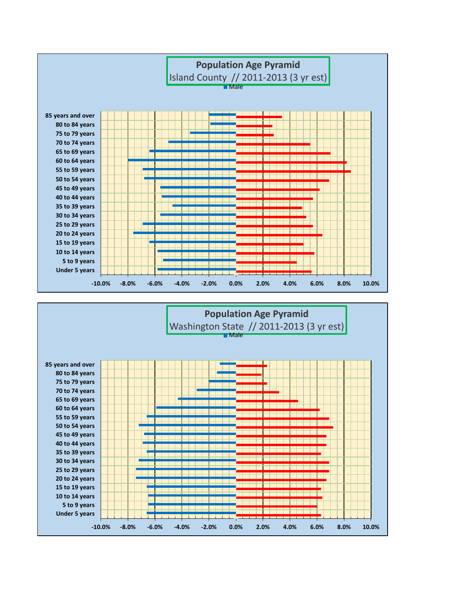